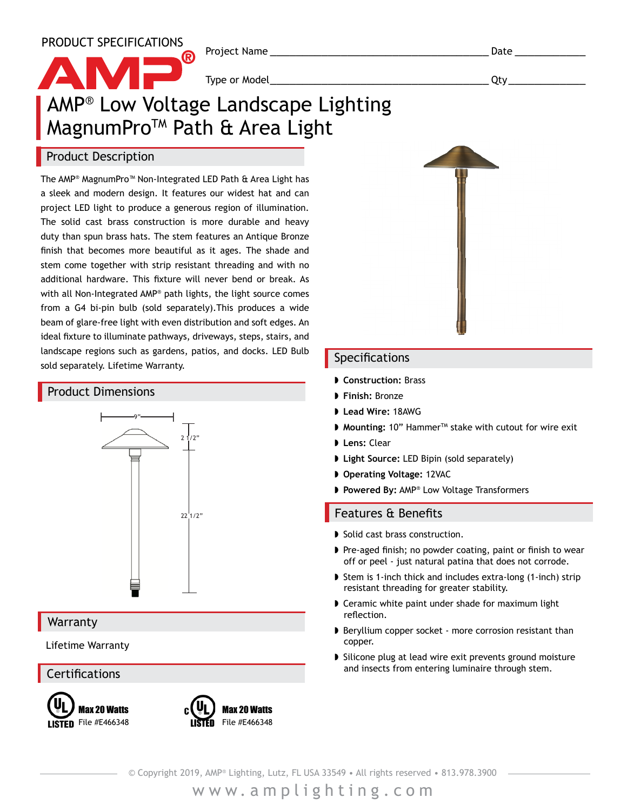PRODUCT SPECIFICATIONS

Project Name **Date 2018** 

Type or Model\_\_\_\_\_\_\_\_\_\_\_\_\_\_\_\_\_\_\_\_\_\_\_\_\_\_\_\_\_\_\_\_\_\_ Qty\_\_\_\_\_\_\_\_\_\_\_\_

### AMP® Low Voltage Landscape Lighting MagnumPro<sup>™</sup> Path & Area Light

(R)

#### Product Description

The AMP® MagnumPro™ Non-Integrated LED Path & Area Light has a sleek and modern design. It features our widest hat and can project LED light to produce a generous region of illumination. The solid cast brass construction is more durable and heavy duty than spun brass hats. The stem features an Antique Bronze finish that becomes more beautiful as it ages. The shade and stem come together with strip resistant threading and with no additional hardware. This fixture will never bend or break. As with all Non-Integrated AMP® path lights, the light source comes from a G4 bi-pin bulb (sold separately).This produces a wide beam of glare-free light with even distribution and soft edges. An ideal fixture to illuminate pathways, driveways, steps, stairs, and landscape regions such as gardens, patios, and docks. LED Bulb sold separately. Lifetime Warranty.

#### Product Dimensions



#### **Warranty**

Lifetime Warranty

**Certifications** 







#### Specifications

- ◗ **Construction:** Brass
- ◗ **Finish:** Bronze
- ◗ **Lead Wire:** 18AWG
- ◗ **Mounting:** 10" HammerTM stake with cutout for wire exit
- ◗ **Lens:** Clear
- ◗ **Light Source:** LED Bipin (sold separately)
- ◗ **Operating Voltage:** 12VAC
- ◗ **Powered By:** AMP® Low Voltage Transformers

#### Features & Benefits

- ◗ Solid cast brass construction.
- ◗ Pre-aged finish; no powder coating, paint or finish to wear off or peel - just natural patina that does not corrode.
- ◗ Stem is 1-inch thick and includes extra-long (1-inch) strip resistant threading for greater stability.
- ◗ Ceramic white paint under shade for maximum light reflection.
- ◗ Beryllium copper socket more corrosion resistant than copper.
- ◗ Silicone plug at lead wire exit prevents ground moisture and insects from entering luminaire through stem.

© Copyright 2019, AMP® Lighting, Lutz, FL USA 33549 • All rights reserved • 813.978.3900

www.amplighting.com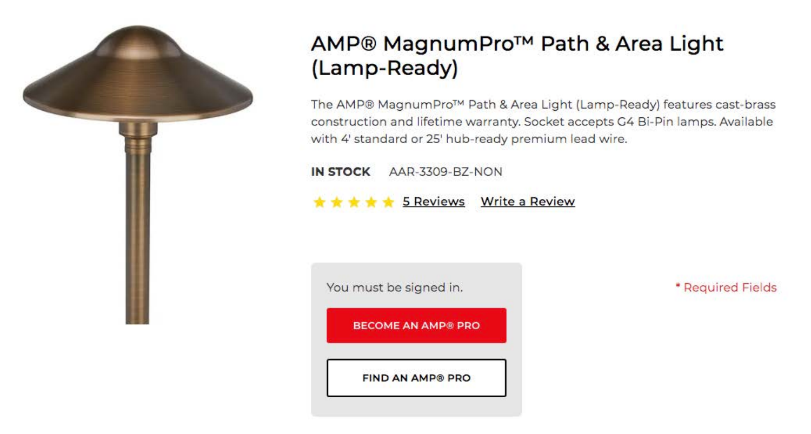

# AMP® MagnumPro™ Path & Area Light (Lamp-Ready)

The AMP® MagnumPro™ Path & Area Light (Lamp-Ready) features cast-brass construction and lifetime warranty. Socket accepts G4 Bi-Pin lamps. Available with 4' standard or 25' hub-ready premium lead wire.

**IN STOCK** AAR-3309-BZ-NON

5 Reviews Write a Review

You must be signed in. **BECOME AN AMP® PRO FIND AN AMP® PRO** 

\* Required Fields